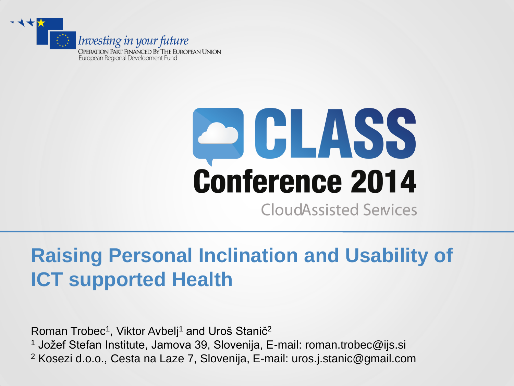

# **ACLASS Conference 2014**

**CloudAssisted Services** 

# **Raising Personal Inclination and Usability of ICT supported Health**

Roman Trobec<sup>1</sup>, Viktor Avbelj<sup>1</sup> and Uroš Stanič<sup>2</sup> <sup>1</sup> Jožef Stefan Institute, Jamova 39, Slovenija, E-mail: roman.trobec@ijs.si <sup>2</sup> Kosezi d.o.o., Cesta na Laze 7, Slovenija, E-mail: uros.j.stanic@gmail.com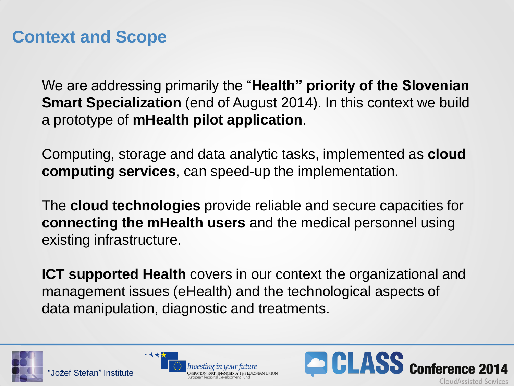# **Context and Scope**

We are addressing primarily the "**Health" priority of the Slovenian Smart Specialization** (end of August 2014). In this context we build a prototype of **mHealth pilot application**.

Computing, storage and data analytic tasks, implemented as **cloud computing services**, can speed-up the implementation.

The **cloud technologies** provide reliable and secure capacities for **connecting the mHealth users** and the medical personnel using existing infrastructure.

**ICT supported Health** covers in our context the organizational and management issues (eHealth) and the technological aspects of data manipulation, diagnostic and treatments.





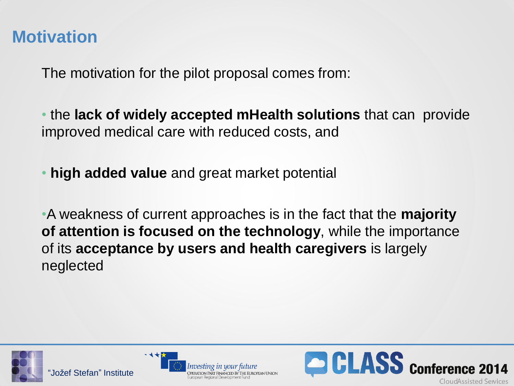## **Motivation**

The motivation for the pilot proposal comes from:

• the **lack of widely accepted mHealth solutions** that can provide improved medical care with reduced costs, and

• **high added value** and great market potential

•A weakness of current approaches is in the fact that the **majority of attention is focused on the technology**, while the importance of its **acceptance by users and health caregivers** is largely neglected





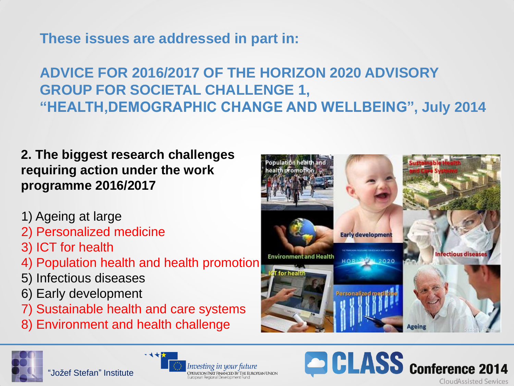**These issues are addressed in part in:**

### **ADVICE FOR 2016/2017 OF THE HORIZON 2020 ADVISORY GROUP FOR SOCIETAL CHALLENGE 1, "HEALTH,DEMOGRAPHIC CHANGE AND WELLBEING", July 2014**

**2. The biggest research challenges requiring action under the work programme 2016/2017** 

- 1) Ageing at large
- 2) Personalized medicine
- 3) ICT for health
- 4) Population health and health promotion
- 5) Infectious diseases
- 6) Early development
- 7) Sustainable health and care systems
- 8) Environment and health challenge





"Jožef Stefan" Institute



**CLASS** Conference 2014 **CloudAssisted Services**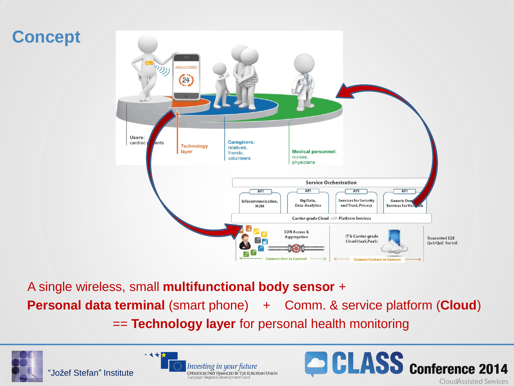

A single wireless, small **multifunctional body sensor** + **Personal data terminal** (smart phone) + Comm. & service platform (**Cloud**) == **Technology layer** for personal health monitoring





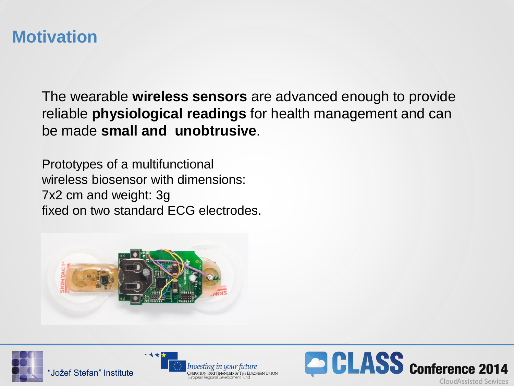### **Motivation**

The wearable **wireless sensors** are advanced enough to provide reliable **physiological readings** for health management and can be made **small and unobtrusive**.

Prototypes of a multifunctional wireless biosensor with dimensions: 7x2 cm and weight: 3g fixed on two standard ECG electrodes.







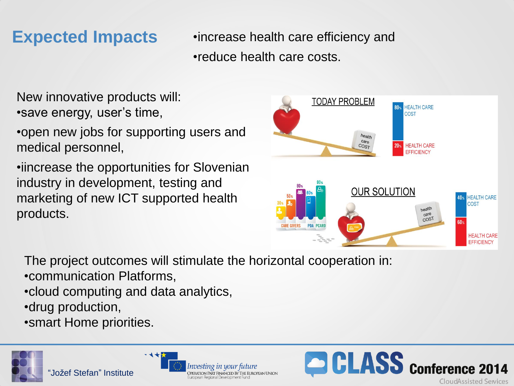**Expected Impacts** •increase health care efficiency and •reduce health care costs.

- New innovative products will: •save energy, user's time,
- •open new jobs for supporting users and medical personnel,
- •iincrease the opportunities for Slovenian industry in development, testing and marketing of new ICT supported health products.

**TODAY PROBLEM HEALTH CARE COST** health care  $COST$  $20<sub>2</sub>$ **HEALTH CARE EFFICIENCY OUR SOLUTION HEALTH CARE** COST health  $care$  $COS<sub>T</sub>$  $60<sub>9</sub>$ **CARE GIVERS PDA PCAR HEALTH CARE FFFICIENCY** 

The project outcomes will stimulate the horizontal cooperation in:

- •communication Platforms,
- •cloud computing and data analytics,

- ଏ ★¦

- •drug production,
- •smart Home priorities.



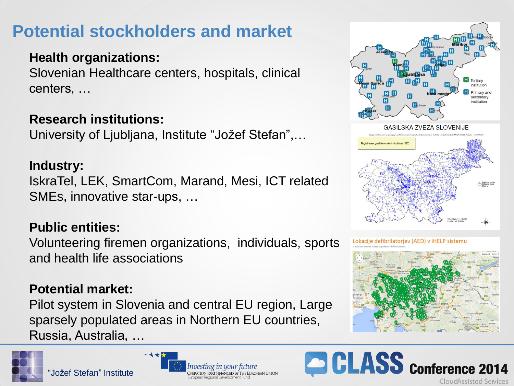# **Potential stockholders and market**

#### **Health organizations:**

Slovenian Healthcare centers, hospitals, clinical centers, …

#### **Research institutions:**

University of Ljubljana, Institute "Jožef Stefan",…

#### **Industry:**

IskraTel, LEK, SmartCom, Marand, Mesi, ICT related SMEs, innovative star-ups, …

#### **Public entities:**

Volunteering firemen organizations, individuals, sports and health life associations

#### **Potential market:**

Pilot system in Slovenia and central EU region, Large sparsely populated areas in Northern EU countries, Russia, Australia, …













CLASS Conference 2014 CloudAssisted Services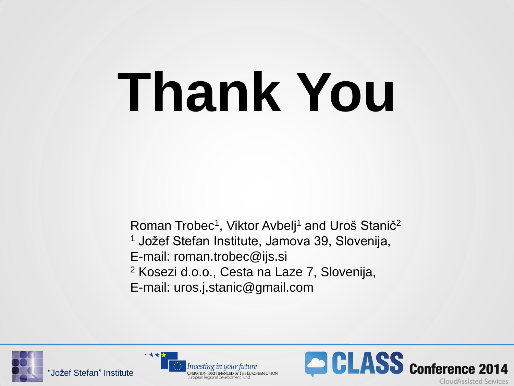# **Thank You**

Roman Trobec<sup>1</sup>, Viktor Avbelj<sup>1</sup> and Uroš Stanič<sup>2</sup> <sup>1</sup> Jožef Stefan Institute, Jamova 39, Slovenija, E-mail: roman.trobec@ijs.si <sup>2</sup> Kosezi d.o.o., Cesta na Laze 7, Slovenija, E-mail: uros.j.stanic@gmail.com